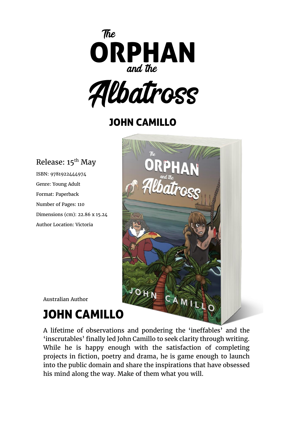



## JOHN CAMILLO

### Release: 15<sup>th</sup> May

ISBN: 9781922444974 Genre: Young Adult Format: Paperback Number of Pages: 110 Dimensions (cm): 22.86 x 15.24 Author Location: Victoria



Australian Author

# JOHN CAMILLO

A lifetime of observations and pondering the 'ineffables' and the 'inscrutables' finally led John Camillo to seek clarity through writing. While he is happy enough with the satisfaction of completing projects in fiction, poetry and drama, he is game enough to launch into the public domain and share the inspirations that have obsessed his mind along the way. Make of them what you will.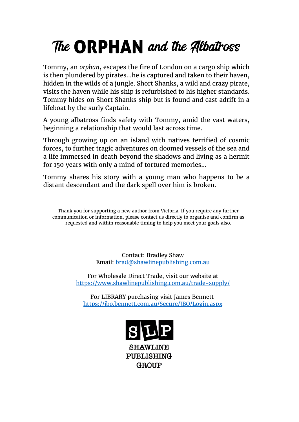# The ORPHAN and the Albatross

Tommy, an *orphan*, escapes the fire of London on a cargo ship which is then plundered by pirates…he is captured and taken to their haven, hidden in the wilds of a jungle. Short Shanks, a wild and crazy pirate, visits the haven while his ship is refurbished to his higher standards. Tommy hides on Short Shanks ship but is found and cast adrift in a lifeboat by the surly Captain.

A young albatross finds safety with Tommy, amid the vast waters, beginning a relationship that would last across time.

Through growing up on an island with natives terrified of cosmic forces, to further tragic adventures on doomed vessels of the sea and a life immersed in death beyond the shadows and living as a hermit for 150 years with only a mind of tortured memories…

Tommy shares his story with a young man who happens to be a distant descendant and the dark spell over him is broken.

Thank you for supporting a new author from Victoria. If you require any further communication or information, please contact us directly to organise and confirm as requested and within reasonable timing to help you meet your goals also.

> Contact: Bradley Shaw Email: [brad@shawlinepublishing.com.au](mailto:brad@shawlinepublishing.com.au)

For Wholesale Direct Trade, visit our website at <https://www.shawlinepublishing.com.au/trade-supply/>

For LIBRARY purchasing visit James Bennett <https://jbo.bennett.com.au/Secure/JBO/Login.aspx>



**SHAWLINE PUBLISHING GROUP**